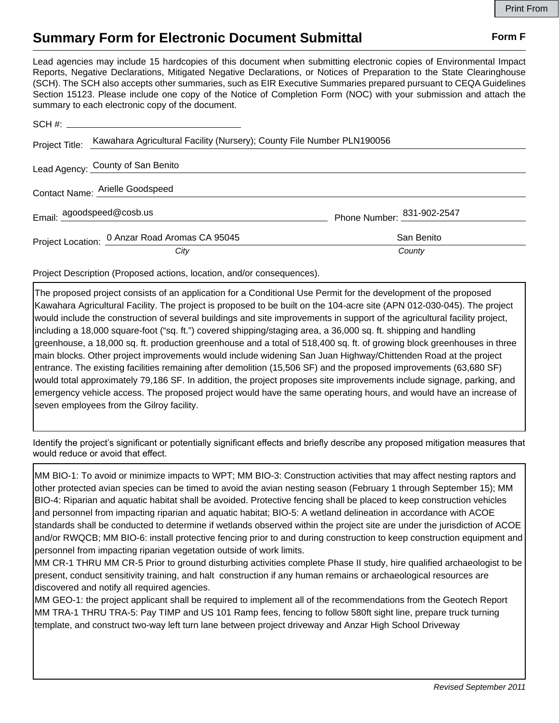## **Summary Form for Electronic Document Submittal Form F Form F**

Lead agencies may include 15 hardcopies of this document when submitting electronic copies of Environmental Impact Reports, Negative Declarations, Mitigated Negative Declarations, or Notices of Preparation to the State Clearinghouse (SCH). The SCH also accepts other summaries, such as EIR Executive Summaries prepared pursuant to CEQA Guidelines Section 15123. Please include one copy of the Notice of Completion Form (NOC) with your submission and attach the summary to each electronic copy of the document.

|                                 | Project Title: Kawahara Agricultural Facility (Nursery); County File Number PLN190056 |                            |
|---------------------------------|---------------------------------------------------------------------------------------|----------------------------|
|                                 | Lead Agency: County of San Benito                                                     |                            |
| Contact Name: Arielle Goodspeed |                                                                                       |                            |
|                                 | Email: agoodspeed@cosb.us                                                             | Phone Number: 831-902-2547 |
|                                 | Project Location: 0 Anzar Road Aromas CA 95045                                        | San Benito                 |
|                                 | City                                                                                  | County                     |

Project Description (Proposed actions, location, and/or consequences).

The proposed project consists of an application for a Conditional Use Permit for the development of the proposed Kawahara Agricultural Facility. The project is proposed to be built on the 104-acre site (APN 012-030-045). The project would include the construction of several buildings and site improvements in support of the agricultural facility project, including a 18,000 square-foot ("sq. ft.") covered shipping/staging area, a 36,000 sq. ft. shipping and handling greenhouse, a 18,000 sq. ft. production greenhouse and a total of 518,400 sq. ft. of growing block greenhouses in three main blocks. Other project improvements would include widening San Juan Highway/Chittenden Road at the project entrance. The existing facilities remaining after demolition (15,506 SF) and the proposed improvements (63,680 SF) would total approximately 79,186 SF. In addition, the project proposes site improvements include signage, parking, and emergency vehicle access. The proposed project would have the same operating hours, and would have an increase of seven employees from the Gilroy facility.

Identify the project's significant or potentially significant effects and briefly describe any proposed mitigation measures that would reduce or avoid that effect.

MM BIO-1: To avoid or minimize impacts to WPT; MM BIO-3: Construction activities that may affect nesting raptors and other protected avian species can be timed to avoid the avian nesting season (February 1 through September 15); MM BIO-4: Riparian and aquatic habitat shall be avoided. Protective fencing shall be placed to keep construction vehicles and personnel from impacting riparian and aquatic habitat; BIO-5: A wetland delineation in accordance with ACOE standards shall be conducted to determine if wetlands observed within the project site are under the jurisdiction of ACOE and/or RWQCB; MM BIO-6: install protective fencing prior to and during construction to keep construction equipment and personnel from impacting riparian vegetation outside of work limits.

MM CR-1 THRU MM CR-5 Prior to ground disturbing activities complete Phase II study, hire qualified archaeologist to be present, conduct sensitivity training, and halt construction if any human remains or archaeological resources are discovered and notify all required agencies.

MM GEO-1: the project applicant shall be required to implement all of the recommendations from the Geotech Report MM TRA-1 THRU TRA-5: Pay TIMP and US 101 Ramp fees, fencing to follow 580ft sight line, prepare truck turning template, and construct two-way left turn lane between project driveway and Anzar High School Driveway